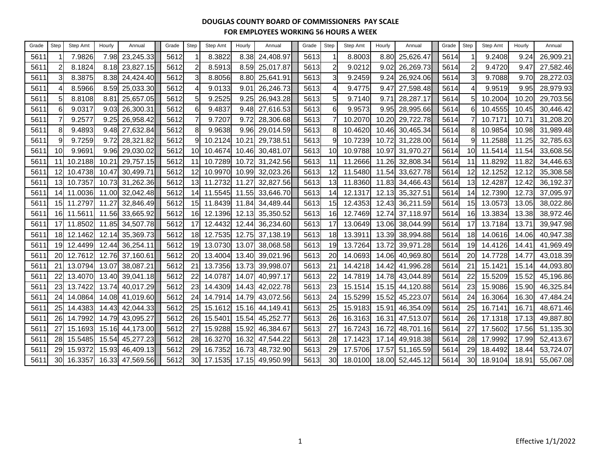| Grade | Step            | Step Amt   | Hourly        | Annual    | Grade | Step            | Step Amt | Hourly | Annual          | Grade | Step           | Step Amt | Hourly | Annual          | Grade | Step            | Step Amt | Hourly | Annual    |
|-------|-----------------|------------|---------------|-----------|-------|-----------------|----------|--------|-----------------|-------|----------------|----------|--------|-----------------|-------|-----------------|----------|--------|-----------|
| 5611  |                 | 7.9826     | 7.98          | 23,245.33 | 5612  |                 | 8.3822   | 8.38   | 24,408.97       | 5613  |                | 8.8003   | 8.80   | 25,626.47       | 5614  |                 | 9.2408   | 9.24   | 26,909.21 |
| 5611  |                 | 8.1824     | 8.18          | 23,827.15 | 5612  | 2               | 8.5913   | 8.59   | 25,017.87       | 5613  | $\overline{c}$ | 9.0212   | 9.02   | 26,269.73       | 5614  |                 | 9.4720   | 9.47   | 27,582.46 |
| 5611  | $\mathbf{3}$    | 8.3875     | 8.38          | 24,424.40 | 5612  | $\mathbf{3}$    | 8.8056   | 8.80   | 25,641.91       | 5613  | $\overline{3}$ | 9.2459   | 9.24   | 26,924.06       | 5614  | 3               | 9.7088   | 9.70   | 28,272.03 |
| 5611  |                 | 8.5966     | 8.59          | 25,033.30 | 5612  |                 | 9.0133   | 9.01   | 26,246.73       | 5613  | $\overline{4}$ | 9.4775   | 9.47   | 27,598.48       | 5614  |                 | 9.9519   | 9.95   | 28,979.93 |
| 5611  |                 | 8.8108     | $8.8^{\circ}$ | 25,657.05 | 5612  | 5               | 9.2525   | 9.25   | 26,943.28       | 5613  | 5 <sub>l</sub> | 9.7140   | 9.71   | 28,287.17       | 5614  | 5               | 10.2004  | 10.20  | 29,703.56 |
| 5611  | 61              | 9.0317     | 9.03          | 26,300.31 | 5612  | 6               | 9.4837   | 9.48   | 27,616.53       | 5613  | 6              | 9.9573   | 9.95   | 28,995.66       | 5614  | 61              | 10.4555  | 10.45  | 30,446.42 |
| 5611  |                 | 9.2577     | 9.25          | 26,958.42 | 5612  |                 | 9.7207   | 9.72   | 28,306.68       | 5613  |                | 10.2070  | 10.20  | 29,722.78       | 5614  |                 | 10.7171  | 10.71  | 31,208.20 |
| 5611  | 8               | 9.4893     | 9.48          | 27,632.84 | 5612  | 8               | 9.9638   | 9.96   | 29,014.59       | 5613  | 8 <sup>1</sup> | 10.4620  | 10.46  | 30,465.34       | 5614  | 8               | 10.9854  | 10.98  | 31,989.48 |
| 5611  |                 | 9.7259     | 9.72          | 28,321.82 | 5612  | 9               | 10.2124  | 10.21  | 29,738.51       | 5613  | 9              | 10.7239  |        | 10.72 31,228.00 | 5614  | 9               | 11.2588  | 11.25  | 32,785.63 |
| 5611  | 10 <sup>1</sup> | 9.9691     | 9.96          | 29,030.02 | 5612  | 10              | 10.4674  | 10.46  | 30,481.07       | 5613  | 10             | 10.9788  |        | 10.97 31,970.27 | 5614  | 10 <sup>1</sup> | 11.5414  | 11.54  | 33,608.56 |
| 5611  | 11              | 10.2188    | 10.21         | 29,757.15 | 5612  | 11              | 10.7289  | 10.72  | 31,242.56       | 5613  | 11             | 11.2666  | 11.26  | 32,808.34       | 5614  | 11              | 11.8292  | 11.82  | 34,446.63 |
| 5611  | 12              | 10.4738    | 10.47         | 30,499.71 | 5612  | 12              | 10.9970  | 10.99  | 32,023.26       | 5613  | 12             | 11.5480  | 11.54  | 33,627.78       | 5614  | 12              | 12.1252  | 12.12  | 35,308.58 |
| 5611  | 13              | 10.7357    | 10.73         | 31,262.36 | 5612  | 13              | 11.2732  | 11.27  | 32,827.56       | 5613  | 13             | 11.8360  | 11.83  | 34,466.43       | 5614  | 13              | 12.4287  | 12.42  | 36,192.37 |
| 5611  | 14              | 11.0036    | 11.00         | 32,042.48 | 5612  | 14              | 11.5545  | 11.55  | 33,646.70       | 5613  | 14             | 12.1317  | 12.13  | 35,327.51       | 5614  | 14              | 12.7390  | 12.73  | 37,095.97 |
| 5611  |                 | 15 11.2797 | 11.27         | 32,846.49 | 5612  | 15              | 11.8439  | 11.84  | 34,489.44       | 5613  | 15             | 12.4353  |        | 12.43 36,211.59 | 5614  | 15              | 13.0573  | 13.05  | 38,022.86 |
| 5611  |                 | 16 11.5611 | 11.56         | 33,665.92 | 5612  | 16              | 12.1396  | 12.13  | 35,350.52       | 5613  | 16             | 12.7469  | 12.74  | 37,118.97       | 5614  | 16              | 13.3834  | 13.38  | 38,972.46 |
| 5611  | 17              | 11.8502    | 11.85         | 34,507.78 | 5612  | 17              | 12.4432  | 12.44  | 36,234.60       | 5613  | 17             | 13.0649  | 13.06  | 38,044.99       | 5614  | 17              | 13.7184  | 13.71  | 39,947.98 |
| 5611  | 18              | 12.1462    | 12.14         | 35,369.73 | 5612  | 18              | 12.7535  | 12.75  | 37,138.19       | 5613  | 18             | 13.3911  | 13.39  | 38,994.88       | 5614  | <u>18</u>       | 14.0616  | 14.06  | 40,947.38 |
| 5611  | 19 <sup>l</sup> | 12.4499    | 12.44         | 36,254.11 | 5612  | 19              | 13.0730  | 13.07  | 38,068.58       | 5613  | 19             | 13.7264  | 13.72  | 39,971.28       | 5614  | 19              | 14.4126  | 14.41  | 41,969.49 |
| 5611  | 20              | 12.7612    | 12.76         | 37,160.61 | 5612  | <b>20</b>       | 13.4004  | 13.40  | 39,021.96       | 5613  | 20             | 14.0693  | 14.06  | 40,969.80       | 5614  | 20              | 14.7728  | 14.77  | 43,018.39 |
| 5611  | 21              | 13.0794    | 13.07         | 38,087.21 | 5612  | 21              | 13.7356  | 13.73  | 39,998.07       | 5613  | 21             | 14.4218  |        | 14.42 41,996.28 | 5614  | 21              | 15.1421  | 15.14  | 44,093.80 |
| 5611  | 22              | 13.4070    | 13.40         | 39,041.18 | 5612  | 22              | 14.0787  | 14.07  | 40,997.17       | 5613  | 22             | 14.7819  | 14.78  | 43,044.89       | 5614  | 22              | 15.5209  | 15.52  | 45,196.86 |
| 5611  | 23              | 13.7422    | 13.74         | 40,017.29 | 5612  | 23              | 14.4309  | 14.43  | 42,022.78       | 5613  | 23             | 15.1514  | 15.15  | 44,120.88       | 5614  | 23              | 15.9086  | 15.90  | 46,325.84 |
| 5611  | 24              | 14.0864    | 14.08         | 41,019.60 | 5612  | 24              | 14.7914  | 14.79  | 43,072.56       | 5613  | 24             | 15.5299  | 15.52  | 45,223.07       | 5614  | 24              | 16.3064  | 16.30  | 47,484.24 |
| 5611  |                 | 25 14.4383 | 14.43         | 42,044.33 | 5612  | 25              | 15.1612  | 15.16  | 44,149.41       | 5613  | 25             | 15.9183  | 15.91  | 46,354.09       | 5614  | 25              | 16.7141  | 16.71  | 48,671.46 |
| 5611  | <b>26</b>       | 14.7992    | 14.79         | 43,095.27 | 5612  | 26              | 15.5401  |        | 15.54 45,252.77 | 5613  | 26             | 16.3163  |        | 16.31 47,513.07 | 5614  | 26              | 17.1318  | 17.13  | 49,887.80 |
| 5611  | 27              | 15.1693    | 15.16         | 44,173.00 | 5612  | 27 <sup>1</sup> | 15.9288  | 15.92  | 46,384.67       | 5613  | 27             | 16.7243  | 16.72  | 48,701.16       | 5614  | 27              | 17.5602  | 17.56  | 51,135.30 |
| 5611  | 28              | 15.5485    | 15.54         | 45,277.23 | 5612  | 28              | 16.3270  | 16.32  | 47,544.22       | 5613  | 28             | 17.1423  | 17.14  | 49,918.38       | 5614  | 28              | 17.9992  | 17.99  | 52,413.67 |
| 5611  | 29              | 15.9372    | 15.93         | 46,409.13 | 5612  | 29              | 16.7352  | 16.73  | 48,732.90       | 5613  | 29             | 17.5706  |        | 17.57 51,165.59 | 5614  | 29              | 18.4492  | 18.44  | 53,724.07 |
| 5611  | 30 <sup>l</sup> | 16.3357    | 16.33         | 47,569.56 | 5612  | 30              | 17.1535  |        | 17.15 49,950.99 | 5613  | 30             | 18.0100  |        | 18.00 52,445.12 | 5614  | 30 <sup>l</sup> | 18.9104  | 18.91  | 55,067.08 |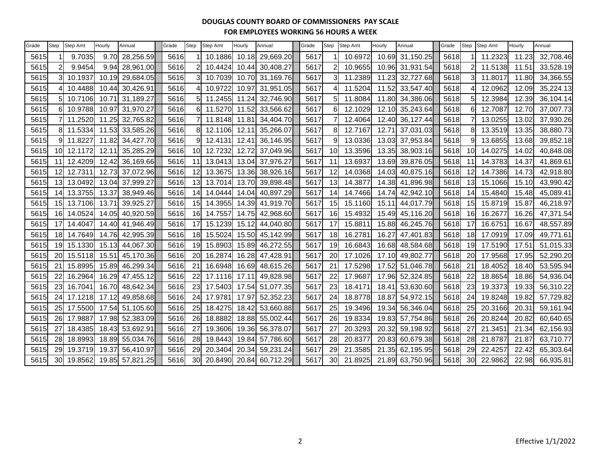| Grade | Step            | <b>Step Amt</b> | Hourly            | Annual    | Grade | <b>Step</b> | Step Amt | Hourly | Annual    | Grade | <b>Step</b>     | Step Amt | Hourly | Annual          | Grade | Step    | Step Amt      | Hourly | Annual    |
|-------|-----------------|-----------------|-------------------|-----------|-------|-------------|----------|--------|-----------|-------|-----------------|----------|--------|-----------------|-------|---------|---------------|--------|-----------|
| 5615  |                 | 9.7035          | 9.70              | 28,256.59 | 5616  |             | 10.1886  | 10.18  | 29,669.20 | 5617  |                 | 10.6972  |        | 10.69 31,150.25 | 5618  |         | 11.2323       | 11.23  | 32,708.46 |
| 5615  |                 | 9.9454          | 9.94              | 28,961.00 | 5616  |             | 10.4424  | 10.44  | 30,408.27 | 5617  |                 | 10.9655  |        | 10.96 31,931.54 | 5618  |         | 11.5138       | 11.51  | 33,528.19 |
| 5615  |                 | 10.1937         | 10.19             | 29,684.05 | 5616  | 3           | 10.7039  | 10.70  | 31,169.76 | 5617  | з               | 11.2389  | 11.23  | 32,727.68       | 5618  |         | 11.8017<br>ЗI | 11.80  | 34,366.55 |
| 5615  |                 | 10.4488         | 10.44             | 30,426.91 | 5616  |             | 10.9722  | 10.97  | 31,951.05 | 5617  |                 | 11.5204  | 11.52  | 33,547.40       | 5618  |         | 12.0962       | 12.09  | 35,224.13 |
| 5615  |                 | 10.7106         | 10.7 <sup>2</sup> | 31,189.27 | 5616  | 5           | 11.2455  | 11.24  | 32,746.90 | 5617  |                 | 11.8084  |        | 11.80 34,386.06 | 5618  | 5       | 12.3984       | 12.39  | 36,104.14 |
| 5615  | $6 \mid$        | 10.9788         | 10.97             | 31,970.27 | 5616  | 6           | 11.5270  | 11.52  | 33,566.62 | 5617  | 6               | 12.1029  |        | 12.10 35,243.64 | 5618  | 61      | 12.7087       | 12.70  | 37,007.73 |
| 5615  |                 | 11.2520         | 11.25             | 32,765.82 | 5616  |             | 11.8148  | 11.81  | 34,404.70 | 5617  |                 | 12.4064  |        | 12.40 36,127.44 | 5618  |         | 13.0255       | 13.02  | 37,930.26 |
| 5615  |                 | 8 11.5334       | 11.53             | 33,585.26 | 5616  | 8           | 12.1106  | 12.11  | 35,266.07 | 5617  | 81              | 12.7167  | 12.71  | 37,031.03       | 5618  | 81      | 13.3519       | 13.35  | 38,880.73 |
| 5615  |                 | 11.8227         | 11.82             | 34,427.70 | 5616  | 9           | 12.4131  | 12.41  | 36,146.95 | 5617  |                 | 13.0336  |        | 13.03 37,953.84 | 5618  | 9       | 13.6855       | 13.68  | 39,852.18 |
| 5615  | 10 <sup>1</sup> | 12.1172         | 12.1              | 35,285.29 | 5616  | 10          | 12.7232  | 12.72  | 37,049.96 | 5617  | 10 <sup>1</sup> | 13.3596  | 13.35  | 38,903.16       | 5618  | 10      | 14.0275       | 14.02  | 40,848.08 |
| 5615  | 11              | 12.4209         | 12.42             | 36,169.66 | 5616  | 11          | 13.0413  | 13.04  | 37,976.27 | 5617  | 11              | 13.6937  |        | 13.69 39,876.05 | 5618  | 11      | 14.3783       | 14.37  | 41,869.61 |
| 5615  | 12 <sup>1</sup> | 12.7311         | 12.73             | 37,072.96 | 5616  | 12          | 13.3675  | 13.36  | 38,926.16 | 5617  | 12 <sup>1</sup> | 14.0368  |        | 14.03 40,875.16 | 5618  | $12 \,$ | 14.7386       | 14.73  | 42,918.80 |
| 5615  | 13              | 13.0492         | 13.04             | 37,999.27 | 5616  | 13          | 13.7014  | 13.70  | 39,898.48 | 5617  | 13              | 14.3877  |        | 14.38 41,896.98 | 5618  | 13      | 15.1066       | 15.10  | 43,990.42 |
| 5615  | 14              | 13.3755         | 13.37             | 38,949.46 | 5616  | 14          | 14.0444  | 14.04  | 40,897.29 | 5617  | 14              | 14.7466  | 14.74  | 42,942.10       | 5618  | 14      | 15.4840       | 15.48  | 45,089.41 |
| 5615  | 15 <sup>1</sup> | 13.7106         | 13.7              | 39,925.27 | 5616  | 15          | 14.3955  | 14.39  | 41,919.70 | 5617  | 15              | 15.1160  | 15.11  | 44,017.79       | 5618  | 15      | 15.8719       | 15.87  | 46,218.97 |
| 5615  |                 | 16 14.0524      | 14.05             | 40,920.59 | 5616  | 16          | 14.7557  | 14.75  | 42,968.60 | 5617  | <b>16</b>       | 15.4932  |        | 15.49 45,116.20 | 5618  | 16      | 16.2677       | 16.26  | 47,371.54 |
| 5615  | 17 <sup>1</sup> | 14.4047         | 14.40             | 41,946.49 | 5616  | 17          | 15.1239  | 15.12  | 44,040.80 | 5617  | 17              | 15.8811  | 15.88  | 46,245.76       | 5618  | 17      | 16.6751       | 16.67  | 48,557.89 |
| 5615  |                 | 18 14.7649      | 14.76             | 42,995.39 | 5616  | 18          | 15.5024  | 15.50  | 45,142.99 | 5617  | 18              | 16.2781  | 16.27  | 47,401.83       | 5618  | 18      | 17.0919       | 17.09  | 49,771.61 |
| 5615  | 19 <sup>l</sup> | 15.1330         | 15.13             | 44,067.30 | 5616  | 19          | 15.8903  | 15.89  | 46,272.55 | 5617  | 19              | 16.6843  | 16.68  | 48,584.68       | 5618  | 19      | 17.5190       | 17.51  | 51,015.33 |
| 5615  | 20              | 15.5118         | 15.5'             | 45,170.36 | 5616  | 20          | 16.2874  | 16.28  | 47,428.91 | 5617  | 20              | 17.1026  | 17.10  | 49,802.77       | 5618  | 20      | 17.9568       | 17.95  | 52,290.20 |
| 5615  | 21              | 15.8995         | 15.89             | 46,299.34 | 5616  | 21          | 16.6948  | 16.69  | 48,615.26 | 5617  | 21              | 17.5298  | 17.52  | 51,046.78       | 5618  | 21      | 18.4052       | 18.40  | 53,595.94 |
| 5615  | 22              | 16.2964         | 16.29             | 47,455.12 | 5616  | 22          | 17.1116  | 17.11  | 49,828.98 | 5617  | 22              | 17.9687  |        | 17.96 52,324.85 | 5618  | 22      | 18.8654       | 18.86  | 54,936.04 |
| 5615  | 23              | 16.7041         | 16.70             | 48,642.34 | 5616  | 23          | 17.5403  | 17.54  | 51,077.35 | 5617  | 23              | 18.4171  | 18.41  | 53,630.60       | 5618  | 23      | 19.3373       | 19.33  | 56,310.22 |
| 5615  | 24              | 17.1218         | 17.12             | 49,858.68 | 5616  | 24          | 17.9781  | 17.97  | 52,352.23 | 5617  | 24              | 18.8778  | 18.87  | 54,972.15       | 5618  | 24      | 19.8248       | 19.82  | 57,729.82 |
| 5615  | 25              | 17.5500         | 17.54             | 51,105.60 | 5616  | 25          | 18.4275  | 18.42  | 53,660.88 | 5617  | 25              | 19.3496  | 19.34  | 56,346.04       | 5618  | 25      | 20.3166       | 20.31  | 59,161.94 |
| 5615  | 26              | 17.9887         | 17.98             | 52,383.09 | 5616  | 26          | 18.8882  | 18.88  | 55,002.44 | 5617  | 26              | 19.8334  |        | 19.83 57,754.86 | 5618  | 26      | 20.8244       | 20.82  | 60,640.65 |
| 5615  | 27              | 18.4385         | 18.43             | 53,692.91 | 5616  | 27          | 19.3606  | 19.36  | 56,378.07 | 5617  | 27              | 20.3293  | 20.32  | 59,198.92       | 5618  | 27      | 21.3451       | 21.34  | 62,156.93 |
| 5615  | 28              | 18.8993         | 18.89             | 55,034.76 | 5616  | 28          | 19.8443  | 19.84  | 57,786.60 | 5617  | 28              | 20.8377  |        | 20.83 60,679.38 | 5618  | 28      | 21.8787       | 21.87  | 63,710.77 |
| 5615  | 29              | 19.3719         | 19.37             | 56,410.97 | 5616  | 29          | 20.3404  | 20.34  | 59,231.24 | 5617  | 29              | 21.3585  |        | 21.35 62,195.95 | 5618  | 29      | 22.4257       | 22.42  | 65,303.64 |
| 5615  | 30 <sup>l</sup> | 19.8562         | 19.85             | 57,821.25 | 5616  | 30          | 20.8490  | 20.84  | 60,712.29 | 5617  | 30              | 21.8925  |        | 21.89 63,750.96 | 5618  | 30      | 22.9862       | 22.98  | 66,935.81 |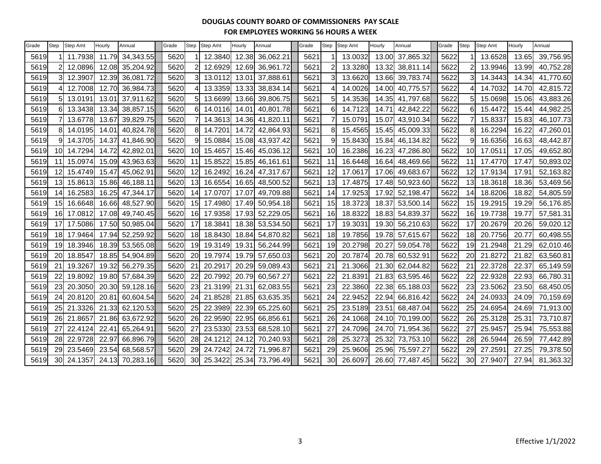| Grade | Step            | Step Amt   | Hourly | Annual    | Grade | <b>Step</b>     | <b>Step Amt</b> | Hourly | Annual    | Grade | <b>Step</b> | Step Amt | Hourly | Annual          | Grade | Step | Step Amt | Hourly | Annual    |
|-------|-----------------|------------|--------|-----------|-------|-----------------|-----------------|--------|-----------|-------|-------------|----------|--------|-----------------|-------|------|----------|--------|-----------|
| 5619  |                 | 11.7938    | 11.79  | 34,343.55 | 5620  |                 | 12.3840         | 12.38  | 36,062.21 | 5621  |             | 13.0032  | 13.00  | 37,865.32       | 5622  |      | 13.6528  | 13.65  | 39,756.95 |
| 5619  |                 | 12.0896    | 12.08  | 35,204.92 | 5620  |                 | 12.6929         | 12.69  | 36,961.72 | 5621  |             | 13.3280  | 13.32  | 38,811.14       | 5622  |      | 13.9946  | 13.99  | 40,752.28 |
| 5619  |                 | 12.3907    | 12.39  | 36,081.72 | 5620  | 3I              | 13.0112         | 13.01  | 37,888.61 | 5621  |             | 13.6620  | 13.66  | 39,783.74       | 5622  |      | 14.3443  | 14.34  | 41.770.60 |
| 5619  |                 | 12.7008    | 12.70  | 36,984.73 | 5620  |                 | 13.3359         | 13.33  | 38,834.14 | 5621  |             | 14.0026  | 14.00  | 40,775.57       | 5622  |      | 14.7032  | 14.70  | 42,815.72 |
| 5619  |                 | 13.0191    | 13.0'  | 37,911.62 | 5620  | 51              | 13.6699         | 13.66  | 39,806.75 | 562'  | 51          | 14.3536  | 14.35  | 41,797.68       | 5622  |      | 15.0698  | 15.06  | 43,883.26 |
| 5619  | 61              | 13.3438    | 13.34  | 38,857.15 | 5620  | 6 <sup>1</sup>  | 14.0116         | 14.01  | 40,801.78 | 5621  | 6           | 14.7123  | 14.71  | 42,842.22       | 5622  | 6    | 15.4472  | 15.44  | 44,982.25 |
| 5619  |                 | 13.6778    | 13.67  | 39,829.75 | 5620  |                 | 14.3613         | 14.36  | 41,820.11 | 5621  |             | 15.0791  | 15.07  | 43,910.34       | 5622  |      | 15.8337  | 15.83  | 46,107.73 |
| 5619  | 81              | 14.0195    | 14.0'  | 40,824.78 | 5620  | 81              | 14.7201         | 14.72  | 42,864.93 | 5621  | 8           | 15.4565  | 15.45  | 45,009.33       | 5622  | 8    | 16.2294  | 16.22  | 47,260.01 |
| 5619  |                 | 14.3705    | 14.37  | 41,846.90 | 5620  | 9               | 15.0884         | 15.08  | 43,937.42 | 5621  |             | 15.8430  | 15.84  | 46,134.82       | 5622  |      | 16.6356  | 16.63  | 48,442.87 |
| 5619  | 10              | 14.7294    | 14.72  | 42,892.01 | 5620  | 10 <sup>1</sup> | 15.4657         | 15.46  | 45,036.12 | 562'  | 10          | 16.2386  | 16.23  | 47,286.80       | 5622  | 10   | 17.0511  | 17.05  | 49,652.80 |
| 5619  | 11              | 15.0974    | 15.09  | 43,963.63 | 5620  | 11              | 15.8522         | 15.85  | 46,161.61 | 5621  | 11          | 16.6448  |        | 16.64 48,469.66 | 5622  | 11   | 17.4770  | 17.47  | 50,893.02 |
| 5619  | 12I             | 15.4749    | 15.47  | 45,062.91 | 5620  | 12              | 16.2492         | 16.24  | 47,317.67 | 5621  | 12          | 17.0617  | 17.06  | 49,683.67       | 5622  | 12   | 17.9134  | 17.91  | 52,163.82 |
| 5619  | 13              | 15.8613    | 15.86  | 46,188.11 | 5620  | 13              | 16.6554         | 16.65  | 48,500.52 | 562'  | 13          | 17.4875  | 17.48  | 50,923.60       | 5622  | 13   | 18.3618  | 18.36  | 53,469.56 |
| 5619  | 14              | 16.2583    | 16.25  | 47,344.17 | 5620  | 14              | 17.0707         | 17.07  | 49,709.88 | 562'  | 14          | 17.9253  | 17.92  | 52,198.47       | 5622  | 14   | 18.8206  | 18.82  | 54,805.59 |
| 5619  | 15              | 16.6648    | 16.66  | 48,527.90 | 5620  | 15              | 17.4980         | 17.49  | 50,954.18 | 562   | 15          | 18.3723  | 18.37  | 53,500.14       | 5622  | 15   | 19.2915  | 19.29  | 56,176.85 |
| 5619  |                 | 16 17.0812 | 17.08  | 49,740.45 | 5620  | 16              | 17.9358         | 17.93  | 52,229.05 | 5621  | <b>16</b>   | 18.8322  | 18.83  | 54,839.37       | 5622  | 16   | 19.7738  | 19.77  | 57,581.31 |
| 5619  | 17              | 17.5086    | 17.50  | 50,985.04 | 5620  | 17 <sup>1</sup> | 18.3841         | 18.38  | 53,534.50 | 562'  | 17          | 19.3031  | 19.30  | 56,210.63       | 5622  | 17   | 20.2679  | 20.26  | 59,020.12 |
| 5619  | 18              | 17.9464    | 17.94  | 52,259.92 | 5620  | 18              | 18.8430         | 18.84  | 54,870.82 | 562'  | 18          | 19.7856  | 19.78  | 57,615.67       | 5622  | 18   | 20.7756  | 20.77  | 60,498.55 |
| 5619  | 19 <sup>l</sup> | 18.3946    | 18.39  | 53,565.08 | 5620  | 19              | 19.3149         | 19.31  | 56,244.99 | 562'  | 19          | 20.2798  | 20.27  | 59,054.78       | 5622  | 19   | 21.2948  | 21.29  | 62,010.46 |
| 5619  | 20              | 18.8547    | 18.85  | 54,904.89 | 5620  | 20              | 19.7974         | 19.79  | 57,650.03 | 562   | 20          | 20.7874  | 20.78  | 60,532.91       | 5622  | 20   | 21.8272  | 21.82  | 63,560.81 |
| 5619  | 21              | 19.3267    | 19.32  | 56,279.35 | 5620  | 21              | 20.2917         | 20.29  | 59,089.43 | 5621  | 21          | 21.3066  | 21.30  | 62,044.82       | 5622  | 21   | 22.3728  | 22.37  | 65,149.59 |
| 5619  | 22              | 19.8092    | 19.80  | 57,684.39 | 5620  | 22              | 20.7992         | 20.79  | 60,567.27 | 562'  | 22          | 21.8391  | 21.83  | 63,595.46       | 5622  | 22   | 22.9328  | 22.93  | 66,780.31 |
| 5619  | 23              | 20.3050    | 20.30  | 59,128.16 | 5620  | 23              | 21.3199         | 21.31  | 62,083.55 | 562'  | 23          | 22.3860  | 22.38  | 65,188.03       | 5622  | 23   | 23.5062  | 23.50  | 68,450.05 |
| 5619  | 24              | 20.8120    | 20.81  | 60,604.54 | 5620  | 24              | 21.8528         | 21.85  | 63,635.35 | 562'  | 24          | 22.9452  | 22.94  | 66,816.42       | 5622  | 24   | 24.0933  | 24.09  | 70,159.69 |
| 5619  |                 | 25 21.3326 | 21.33  | 62,120.53 | 5620  | 25              | 22.3989         | 22.39  | 65,225.60 | 562   | 25          | 23.5189  | 23.51  | 68,487.04       | 5622  | 25   | 24.6954  | 24.69  | 71,913.00 |
| 5619  | 26              | 21.8657    | 21.86  | 63,672.92 | 5620  | 26              | 22.9590         | 22.95  | 66,856.61 | 562'  | 26          | 24.1068  | 24.10  | 70,199.00       | 5622  | 26   | 25.3128  | 25.31  | 73,710.87 |
| 5619  | 27              | 22.4124    | 22.4'  | 65,264.91 | 5620  | 27              | 23.5330         | 23.53  | 68,528.10 | 562'  | 27          | 24.7096  | 24.70  | 71,954.36       | 5622  | 27   | 25.9457  | 25.94  | 75,553.88 |
| 5619  | 28              | 22.9728    | 22.97  | 66,896.79 | 5620  | 28              | 24.1212         | 24.12  | 70,240.93 | 562   | 28          | 25.3273  | 25.32  | 73,753.10       | 5622  | 28   | 26.5944  | 26.59  | 77,442.89 |
| 5619  | 29              | 23.5469    | 23.54  | 68,568.57 | 5620  | 29              | 24.7242         | 24.72  | 71,996.87 | 562'  | 29          | 25.9606  | 25.96  | 75,597.27       | 5622  | 29   | 27.2591  | 27.25  | 79,378.50 |
| 5619  | 30 <sup>l</sup> | 24.1357    | 24.13  | 70,283.16 | 5620  | 30 <sub>l</sub> | 25.3422         | 25.34  | 73,796.49 | 562'  | 30          | 26.6097  |        | 26.60 77,487.45 | 5622  | 30   | 27.9407  | 27.94  | 81,363.32 |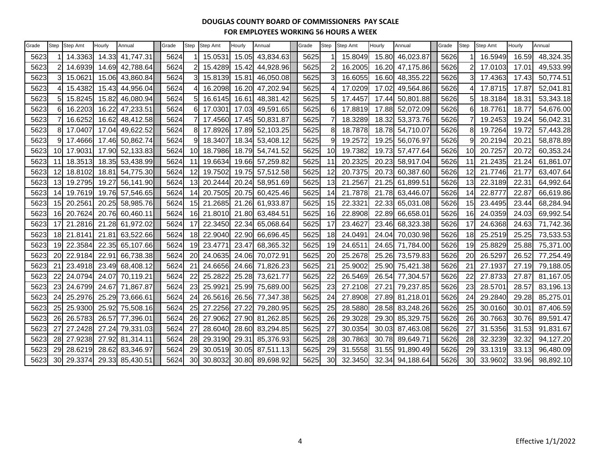| Grade | Step            | Step Amt | Hourly | Annual          | Grade | Step            | Step Amt | Hourly | Annual    | Grade | Step            | Step Amt | Hourly | Annual          | Grade | <b>Step</b> | Step Amt | Hourly | Annual    |
|-------|-----------------|----------|--------|-----------------|-------|-----------------|----------|--------|-----------|-------|-----------------|----------|--------|-----------------|-------|-------------|----------|--------|-----------|
| 5623  |                 | 14.3363  |        | 14.33 41,747.31 | 5624  |                 | 15.0531  | 15.05  | 43,834.63 | 5625  |                 | 15.8049  |        | 15.80 46,023.87 | 5626  |             | 16.5949  | 16.59  | 48,324.35 |
| 5623  |                 | 14.6939  |        | 14.69 42,788.64 | 5624  |                 | 15.4289  | 15.42  | 44,928.96 | 5625  |                 | 16.2005  |        | 16.20 47,175.86 | 5626  |             | 17.0103  | 17.01  | 49,533.99 |
| 5623  | $\mathbf{3}$    | 15.0621  |        | 15.06 43,860.84 | 5624  |                 | 15.8139  | 15.81  | 46,050.08 | 5625  |                 | 16.6055  |        | 16.60 48,355.22 | 5626  | 31          | 17.4363  | 17.43  | 50,774.51 |
| 5623  |                 | 15.4382  |        | 15.43 44,956.04 | 5624  |                 | 16.2098  | 16.20  | 47,202.94 | 5625  |                 | 17.0209  | 17.02  | 49,564.86       | 5626  |             | 17.8715  | 17.87  | 52,041.81 |
| 5623  | 5               | 15.8245  | 15.82  | 46,080.94       | 5624  |                 | 16.6145  | 16.61  | 48,381.42 | 5625  | 5               | 17.4457  | 17.44  | 50,801.88       | 5626  | 51          | 18.3184  | 18.31  | 53,343.18 |
| 5623  |                 | 16.2203  | 16.22  | 47,233.51       | 5624  |                 | 17.0301  | 17.03  | 49,591.65 | 5625  | 6               | 17.8819  |        | 17.88 52,072.09 | 5626  | 6           | 18.7761  | 18.77  | 54,676.00 |
| 5623  |                 | 16.6252  |        | 16.62 48,412.58 | 5624  |                 | 17.4560  | 17.45  | 50,831.87 | 5625  |                 | 18.3289  |        | 18.32 53,373.76 | 5626  |             | 19.2453  | 19.24  | 56,042.31 |
| 5623  | 81              | 17.0407  |        | 17.04 49,622.52 | 5624  | 81              | 17.8926  | 17.89  | 52,103.25 | 5625  | 8               | 18.7878  |        | 18.78 54,710.07 | 5626  | 8           | 19.7264  | 19.72  | 57,443.28 |
| 5623  | 91              | 17.4666  |        | 17.46 50,862.74 | 5624  |                 | 18.3407  | 18.34  | 53,408.12 | 5625  | 9               | 19.2572  | 19.25  | 56,076.97       | 5626  | 9           | 20.2194  | 20.21  | 58,878.89 |
| 5623  | 10              | 17.9031  |        | 17.90 52,133.83 | 5624  | 10 <sup>1</sup> | 18.7986  | 18.79  | 54,741.52 | 5625  | 10 <sup>1</sup> | 19.7382  | 19.73  | 57,477.64       | 5626  | 10          | 20.7257  | 20.72  | 60,353.24 |
| 5623  | 11              | 18.3513  |        | 18.35 53,438.99 | 5624  |                 | 19.6634  | 19.66  | 57,259.82 | 5625  | 11              | 20.2325  |        | 20.23 58,917.04 | 5626  | 11          | 21.2435  | 21.24  | 61,861.07 |
| 5623  | 12              | 18.8102  | 18.81  | 54,775.30       | 5624  | 12 <sub>l</sub> | 19.7502  | 19.75  | 57,512.58 | 5625  | 12              | 20.7375  | 20.73  | 60,387.60       | 5626  | 12          | 21.7746  | 21.77  | 63,407.64 |
| 5623  | 13              | 19.2795  | 19.27  | 56,141.90       | 5624  | 13 <sub>l</sub> | 20.2444  | 20.24  | 58,951.69 | 5625  | 13              | 21.2567  |        | 21.25 61,899.51 | 5626  | 13          | 22.3189  | 22.31  | 64,992.64 |
| 5623  | 14              | 19.7619  |        | 19.76 57,546.65 | 5624  |                 | 20.7505  | 20.75  | 60,425.46 | 5625  | 14              | 21.7878  |        | 21.78 63,446.07 | 5626  | 14          | 22.8777  | 22.87  | 66,619.86 |
| 5623  | 15              | 20.2561  |        | 20.25 58,985.76 | 5624  | 15              | 21.2685  | 21.26  | 61,933.87 | 5625  | 15              | 22.3321  | 22.33  | 65,031.08       | 5626  | 15          | 23.4495  | 23.44  | 68,284.94 |
| 5623  | 16              | 20.7624  |        | 20.76 60,460.11 | 5624  | 16 <sup>l</sup> | 21.8010  | 21.80  | 63,484.51 | 5625  | 16              | 22.8908  |        | 22.89 66,658.01 | 5626  | 16          | 24.0359  | 24.03  | 69,992.54 |
| 5623  | 17              | 21.2816  |        | 21.28 61,972.02 | 5624  | 17              | 22.3450  | 22.34  | 65,068.64 | 5625  | 17              | 23.4627  | 23.46  | 68,323.38       | 5626  | 17          | 24.6368  | 24.63  | 71,742.36 |
| 5623  | 18I             | 21.8141  |        | 21.81 63,522.66 | 5624  | 18I             | 22.9040  | 22.90  | 66,696.45 | 5625  | <u>18</u>       | 24.0491  |        | 24.04 70,030.98 | 5626  | 18          | 25.2519  | 25.25  | 73,533.53 |
| 5623  | 19              | 22.3584  |        | 22.35 65,107.66 | 5624  | 19              | 23.4771  | 23.47  | 68,365.32 | 5625  | 19              | 24.6511  |        | 24.65 71,784.00 | 5626  | 19          | 25.8829  | 25.88  | 75,371.00 |
| 5623  | 20              | 22.9184  | 22.91  | 66,738.38       | 5624  | 20              | 24.0635  | 24.06  | 70,072.91 | 5625  | 20              | 25.2678  | 25.26  | 73,579.83       | 5626  | 20          | 26.5297  | 26.52  | 77,254.49 |
| 5623  | 21              | 23.4918  |        | 23.49 68,408.12 | 5624  | 21              | 24.6656  | 24.66  | 71,826.23 | 5625  | 21              | 25.9002  |        | 25.90 75,421.38 | 5626  | 21          | 27.1937  | 27.19  | 79,188.05 |
| 5623  | 22              | 24.0794  |        | 24.07 70,119.21 | 5624  | 22              | 25.2822  | 25.28  | 73,621.77 | 5625  | 22              | 26.5469  |        | 26.54 77,304.57 | 5626  | 22          | 27.8733  | 27.87  | 81,167.05 |
| 5623  | 23              | 24.6799  |        | 24.67 71,867.87 | 5624  | 23              | 25.9921  | 25.99  | 75,689.00 | 5625  | 23              | 27.2108  | 27.21  | 79,237.85       | 5626  | 23          | 28.5701  | 28.57  | 83,196.13 |
| 5623  | 24              | 25.2976  |        | 25.29 73,666.61 | 5624  | 24              | 26.5616  | 26.56  | 77,347.38 | 5625  | 24              | 27.8908  |        | 27.89 81,218.01 | 5626  | 24          | 29.2840  | 29.28  | 85,275.01 |
| 5623  | 25              | 25.9300  |        | 25.92 75,508.16 | 5624  | 25 <sub>l</sub> | 27.2256  | 27.22  | 79,280.95 | 5625  | 25              | 28.5880  |        | 28.58 83,248.26 | 5626  | 25          | 30.0160  | 30.01  | 87,406.59 |
| 5623  | 26              | 26.5783  |        | 26.57 77,396.01 | 5624  | <b>26</b>       | 27.9062  | 27.90  | 81,262.85 | 5625  | 26              | 29.3028  |        | 29.30 85,329.75 | 5626  | 26          | 30.7663  | 30.76  | 89,591.47 |
| 5623  | 27              | 27.2428  |        | 27.24 79,331.03 | 5624  | 27              | 28.6040  | 28.60  | 83,294.85 | 5625  | 27              | 30.0354  | 30.03  | 87,463.08       | 5626  | 27          | 31.5356  | 31.53  | 91,831.67 |
| 5623  | 28              | 27.9238  |        | 27.92 81,314.11 | 5624  | 28              | 29.3190  | 29.31  | 85,376.93 | 5625  | 28              | 30.7863  |        | 30.78 89,649.71 | 5626  | 28          | 32.3239  | 32.32  | 94,127.20 |
| 5623  | 29              | 28.6219  |        | 28.62 83,346.97 | 5624  | 29              | 30.0519  | 30.05  | 87,511.13 | 5625  | 29              | 31.5558  |        | 31.55 91,890.49 | 5626  | 29          | 33.1319  | 33.13  | 96,480.09 |
| 5623  | 30 <sup>1</sup> | 29.3374  |        | 29.33 85,430.51 | 5624  | 30              | 30.8032  | 30.80  | 89,698.92 | 5625  | 30              | 32.3450  |        | 32.34 94,188.64 | 5626  | 30          | 33.9602  | 33.96  | 98,892.10 |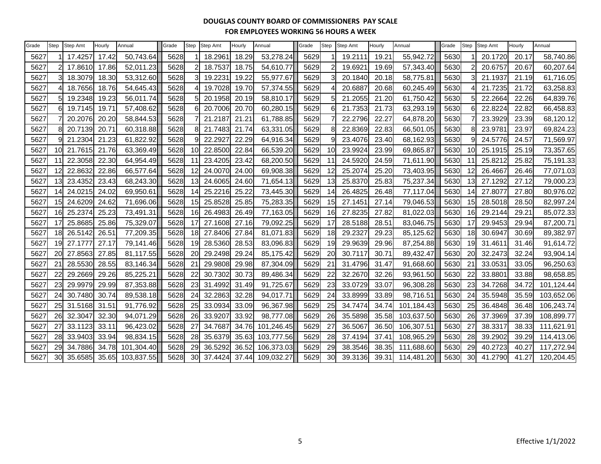| Grade | Step            | <b>Step Amt</b> | Hourly | Annual     | Grade | Step            | <b>Step Amt</b> | Hourly | Annual     | Grade | <b>Step</b> | <b>Step Amt</b> | Hourly | Annual     | Grade | Step | Step Amt | Hourly | Annual     |
|-------|-----------------|-----------------|--------|------------|-------|-----------------|-----------------|--------|------------|-------|-------------|-----------------|--------|------------|-------|------|----------|--------|------------|
| 5627  |                 | 17.4257         | 17.42  | 50,743.64  | 5628  |                 | 18.2961         | 18.29  | 53,278.24  | 5629  |             | 19.2111         | 19.21  | 55,942.72  | 5630  |      | 20.1720  | 20.17  | 58,740.86  |
| 5627  |                 | 17.8610         | 17.86  | 52,011.23  | 5628  |                 | 18.7537         | 18.75  | 54,610.77  | 5629  |             | 19.6921         | 19.69  | 57,343.40  | 5630  |      | 20.6757  | 20.67  | 60,207.64  |
| 5627  |                 | 18.3079         | 18.30  | 53,312.60  | 5628  |                 | 19.2231         | 19.22  | 55,977.67  | 5629  |             | 20.1840         | 20.18  | 58,775.81  | 5630  |      | 21.1937  | 21.19  | 61,716.05  |
| 5627  |                 | 18.7656         | 18.76  | 54,645.43  | 5628  |                 | 19.7028         | 19.70  | 57,374.55  | 5629  |             | 20.6887         | 20.68  | 60,245.49  | 5630  |      | 21.7235  | 21.72  | 63,258.83  |
| 5627  |                 | 19.2348         | 19.23  | 56,011.74  | 5628  |                 | 20.1958         | 20.19  | 58,810.17  | 5629  |             | 21.2055         | 21.20  | 61,750.42  | 5630  |      | 22.2664  | 22.26  | 64,839.76  |
| 5627  |                 | 19.7145         | 19.71  | 57,408.62  | 5628  |                 | 20.7006         | 20.70  | 60,280.15  | 5629  |             | 21.7353         | 21.73  | 63,293.19  | 5630  |      | 22.8224  | 22.82  | 66,458.83  |
| 5627  |                 | 20.2076         | 20.20  | 58,844.53  | 5628  |                 | 21.2187         | 21.21  | 61,788.85  | 5629  |             | 22.2796         | 22.27  | 64,878.20  | 5630  |      | 23.3929  | 23.39  | 68,120.12  |
| 5627  |                 | 20.7139         | 20.71  | 60,318.88  | 5628  |                 | 21.7483         | 21.74  | 63,331.05  | 5629  |             | 22.8369         | 22.83  | 66,501.05  | 5630  |      | 23.9781  | 23.97  | 69,824.23  |
| 5627  |                 | 21.2304         | 21.23  | 61,822.92  | 5628  |                 | 22.2927         | 22.29  | 64,916.34  | 5629  |             | 23.4076         | 23.40  | 68,162.93  | 5630  |      | 24.5776  | 24.57  | 71,569.97  |
| 5627  | 10 <sup>1</sup> | 21.7615         | 21.76  | 63,369.49  | 5628  | 10 <sup>1</sup> | 22.8500         | 22.84  | 66,539.20  | 5629  | 10          | 23.9924         | 23.99  | 69,865.87  | 5630  | 10   | 25.1915  | 25.19  | 73,357.65  |
| 5627  | 11              | 22.3058         | 22.30  | 64,954.49  | 5628  | 11              | 23.4205         | 23.42  | 68,200.50  | 5629  | 11          | 24.5920         | 24.59  | 71,611.90  | 5630  | 11   | 25.8212  | 25.82  | 75,191.33  |
| 5627  | 12              | 22.8632         | 22.86  | 66,577.64  | 5628  | 12 <sup>l</sup> | 24.0070         | 24.00  | 69,908.38  | 5629  | 12          | 25.2074         | 25.20  | 73,403.95  | 5630  | 12   | 26.4667  | 26.46  | 77,071.03  |
| 5627  | 13              | 23.4352         | 23.43  | 68,243.30  | 5628  | 13              | 24.6065         | 24.60  | 71,654.13  | 5629  | 13          | 25.8370         | 25.83  | 75,237.34  | 5630  | 13   | 27.1292  | 27.12  | 79,000.23  |
| 5627  | 14              | 24.0215         | 24.02  | 69,950.61  | 5628  | 14              | 25.2216         | 25.22  | 73,445.30  | 5629  | 14          | 26.4825         | 26.48  | 77,117.04  | 5630  | 14   | 27.8077  | 27.80  | 80,976.02  |
| 5627  | 15              | 24.6209         | 24.62  | 71,696.06  | 5628  | 15 <sub>l</sub> | 25.8528         | 25.85  | 75,283.35  | 5629  | 15          | 27.1451         | 27.14  | 79,046.53  | 5630  | 15   | 28.5018  | 28.50  | 82,997.24  |
| 5627  | 16              | 25.2374         | 25.23  | 73,491.31  | 5628  | 16I             | 26.4983         | 26.49  | 77,163.05  | 5629  | 16          | 27.8235         | 27.82  | 81,022.03  | 5630  | 16   | 29.2144  | 29.21  | 85,072.33  |
| 5627  | 17              | 25.8685         | 25.86  | 75,329.07  | 5628  |                 | 27.1608         | 27.16  | 79,092.25  | 5629  | 17          | 28.5188         | 28.51  | 83,046.75  | 5630  | 17   | 29.9453  | 29.94  | 87,200.71  |
| 5627  | 18              | 26.5142         | 26.51  | 77,209.35  | 5628  | 18 <sub>l</sub> | 27.8406         | 27.84  | 81,071.83  | 5629  | 18          | 29.2327         | 29.23  | 85,125.62  | 5630  | 18   | 30.6947  | 30.69  | 89,382.97  |
| 5627  | 19              | 27.1777         | 27.17  | 79,141.46  | 5628  | 19              | 28.5360         | 28.53  | 83,096.83  | 5629  | 19          | 29.9639         | 29.96  | 87,254.88  | 5630  | 19   | 31.4611  | 31.46  | 91,614.72  |
| 5627  | 20              | 27.8563         | 27.85  | 81,117.55  | 5628  | 20              | 29.2498         | 29.24  | 85,175.42  | 5629  | 20          | 30.7117         | 30.71  | 89,432.47  | 5630  | 20   | 32.2473  | 32.24  | 93,904.14  |
| 5627  | 21              | 28.5530         | 28.55  | 83,146.34  | 5628  | 21              | 29.9808         | 29.98  | 87,304.09  | 5629  | 21          | 31.4796         | 31.47  | 91,668.60  | 5630  | 21   | 33.0531  | 33.05  | 96,250.63  |
| 5627  | 22              | 29.2669         | 29.26  | 85,225.21  | 5628  | 22              | 30.7302         | 30.73  | 89,486.34  | 5629  | 22          | 32.2670         | 32.26  | 93,961.50  | 5630  | 22   | 33.8801  | 33.88  | 98,658.85  |
| 5627  | 23              | 29.9979         | 29.99  | 87,353.88  | 5628  | 23              | 31.4992         | 31.49  | 91,725.67  | 5629  | 23          | 33.0729         | 33.07  | 96,308.28  | 5630  | 23   | 34.7268  | 34.72  | 101,124.44 |
| 5627  | 24              | 30.7480         | 30.74  | 89,538.18  | 5628  | 24              | 32.2863         | 32.28  | 94,017.71  | 5629  | 24          | 33.8999         | 33.89  | 98,716.51  | 5630  | 24   | 35.5948  | 35.59  | 103,652.06 |
| 5627  | 25              | 31.5168         | 31.51  | 91,776.92  | 5628  | 25              | 33.0934         | 33.09  | 96,367.98  | 5629  | 25          | 34.7474         | 34.74  | 101,184.43 | 5630  | 25   | 36.4848  | 36.48  | 106,243.74 |
| 5627  | 26              | 32.3047         | 32.30  | 94,071.29  | 5628  | 26              | 33.9207         | 33.92  | 98,777.08  | 5629  | 26          | 35.5898         | 35.58  | 103,637.50 | 5630  | 26   | 37.3969  | 37.39  | 108,899.77 |
| 5627  | 27              | 33.1123         | 33.11  | 96,423.02  | 5628  | 27              | 34.7687         | 34.76  | 101,246.45 | 5629  | 27          | 36.5067         | 36.50  | 106,307.51 | 5630  | 27   | 38.3317  | 38.33  | 111,621.91 |
| 5627  | 28              | 33.9403         | 33.94  | 98,834.15  | 5628  | 28              | 35.6379         | 35.63  | 103,777.56 | 5629  | 28          | 37.4194         | 37.41  | 108,965.29 | 5630  | 28   | 39.2902  | 39.29  | 114,413.06 |
| 5627  | 29              | 34.7886         | 34.78  | 101,304.40 | 5628  | 29              | 36.5292         | 36.52  | 106,373.03 | 5629  | 29          | 38.3546         | 38.35  | 111,688.60 | 5630  | 29   | 40.2723  | 40.27  | 117,272.94 |
| 5627  | 30              | 35.6585         | 35.65  | 103,837.55 | 5628  | 30 <sup>l</sup> | 37.4424         | 37.44  | 109,032.27 | 5629  | 30          | 39.3136         | 39.31  | 114,481.20 | 5630  | 30   | 41.2790  | 41.27  | 120,204.45 |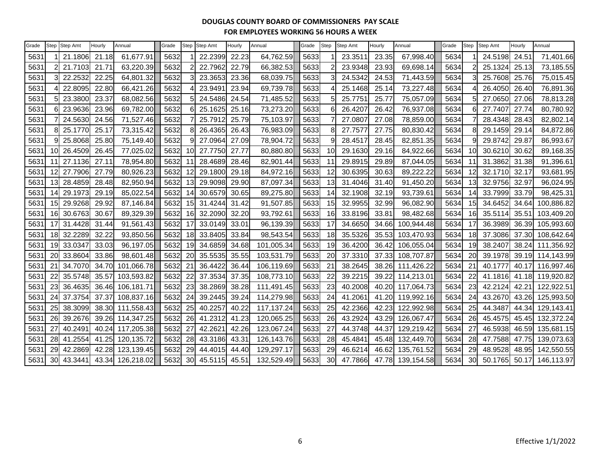| Grade | Step      | Step Amt   | Hourly | Annual     | Grade | Step           | Step Amt | Hourly | Annual     | Grade | Step | Step Amt | Hourly | Annual     | Grade | Step      | Step Amt | Hourly | Annual     |
|-------|-----------|------------|--------|------------|-------|----------------|----------|--------|------------|-------|------|----------|--------|------------|-------|-----------|----------|--------|------------|
| 5631  |           | 21.1806    | 21.18  | 61,677.91  | 5632  |                | 22.2399  | 22.23  | 64,762.59  | 5633  |      | 23.3511  | 23.35  | 67,998.40  | 5634  |           | 24.5198  | 24.51  | 71,401.66  |
| 5631  |           | 21.7103    | 21.71  | 63,220.39  | 5632  | $\overline{2}$ | 22.7962  | 22.79  | 66,382.53  | 5633  |      | 23.9348  | 23.93  | 69,698.14  | 5634  |           | 25.1324  | 25.13  | 73,185.55  |
| 5631  |           | 22.2532    | 22.25  | 64,801.32  | 5632  | 3              | 23.3653  | 23.36  | 68,039.75  | 5633  |      | 24.5342  | 24.53  | 71,443.59  | 5634  |           | 25.7608  | 25.76  | 75,015.45  |
| 5631  |           | 22.8095    | 22.80  | 66,421.26  | 5632  |                | 23.9491  | 23.94  | 69,739.78  | 5633  |      | 25.1468  | 25.14  | 73,227.48  | 5634  |           | 26.4050  | 26.40  | 76,891.36  |
| 5631  |           | 23.3800    | 23.37  | 68,082.56  | 5632  | 5              | 24.5486  | 24.54  | 71,485.52  | 5633  |      | 25.7751  | 25.77  | 75,057.09  | 5634  |           | 27.0650  | 27.06  | 78,813.28  |
| 5631  |           | 23.9636    | 23.96  | 69,782.00  | 5632  | 6              | 25.1625  | 25.16  | 73,273.20  | 5633  |      | 26.4207  | 26.42  | 76,937.08  | 5634  |           | 27.7407  | 27.74  | 80,780.92  |
| 5631  |           | 24.5630    | 24.56  | 71,527.46  | 5632  |                | 25.7912  | 25.79  | 75,103.97  | 5633  |      | 27.0807  | 27.08  | 78,859.00  | 5634  |           | 28.4348  | 28.43  | 82,802.14  |
| 5631  |           | 25.1770    | 25.17  | 73,315.42  | 5632  | 8              | 26.4365  | 26.43  | 76,983.09  | 5633  |      | 27.757   | 27.75  | 80,830.42  | 5634  |           | 29.1459  | 29.14  | 84,872.86  |
| 5631  |           | 25.8068    | 25.80  | 75,149.40  | 5632  | 9              | 27.0964  | 27.09  | 78,904.72  | 5633  |      | 28.4517  | 28.45  | 82,851.35  | 5634  |           | 29.8742  | 29.87  | 86,993.67  |
| 563   |           | 10 26.4509 | 26.45  | 77,025.02  | 5632  | 10             | 27.7750  | 27.77  | 80,880.80  | 5633  | 10   | 29.1630  | 29.16  | 84,922.66  | 5634  | 10        | 30.6210  | 30.62  | 89,168.35  |
| 5631  |           | 27.1136    | 27.11  | 78,954.80  | 5632  | 11             | 28.4689  | 28.46  | 82,901.44  | 5633  | 11   | 29.8915  | 29.89  | 87,044.05  | 5634  | 11        | 31.3862  | 31.38  | 91,396.61  |
| 563   | 12        | 27.7906    | 27.79  | 80,926.23  | 5632  | 12             | 29.1800  | 29.18  | 84,972.16  | 5633  | 12   | 30.6395  | 30.63  | 89,222.22  | 5634  | 12        | 32.1710  | 32.17  | 93,681.95  |
| 563   | 13        | 28.4859    | 28.48  | 82,950.94  | 5632  | 13             | 29.9098  | 29.90  | 87,097.34  | 5633  | 13   | 31.4046  | 31.40  | 91,450.20  | 5634  | 13        | 32.9756  | 32.97  | 96,024.95  |
| 5631  | 14        | 29.1973    | 29.19  | 85,022.54  | 5632  | 14             | 30.6579  | 30.65  | 89,275.80  | 5633  | 14   | 32.1908  | 32.19  | 93,739.61  | 5634  | 14        | 33.7999  | 33.79  | 98,425.31  |
| 563   |           | 15 29.9268 | 29.92  | 87,146.84  | 5632  | 15             | 31.4244  | 31.42  | 91,507.85  | 5633  | 15   | 32.9955  | 32.99  | 96,082.90  | 5634  | 15        | 34.6452  | 34.64  | 100,886.82 |
| 5631  |           | 16 30.6763 | 30.67  | 89,329.39  | 5632  | 16             | 32.2090  | 32.20  | 93,792.61  | 5633  | 16   | 33.8196  | 33.81  | 98,482.68  | 5634  | <u>16</u> | 35.5114  | 35.51  | 103,409.20 |
| 563   |           | 31.4428    | 31.44  | 91,561.43  | 5632  | 17             | 33.0149  | 33.01  | 96,139.39  | 5633  | 17   | 34.6650  | 34.66  | 100,944.48 | 5634  | -17       | 36.3989  | 36.39  | 105,993.60 |
| 563   | 18        | 32.2289    | 32.22  | 93,850.56  | 5632  | 18             | 33.8405  | 33.84  | 98,543.54  | 5633  | 18   | 35.5326  | 35.53  | 103,470.93 | 5634  | 18        | 37.3086  | 37.30  | 108,642.64 |
| 5631  | 19        | 33.0347    | 33.03  | 96,197.05  | 5632  | 19             | 34.6859  | 34.68  | 101,005.34 | 5633  | 19   | 36.4200  | 36.42  | 106,055.04 | 5634  | 19        | 38.2407  | 38.24  | 111,356.92 |
| 563   | <b>20</b> | 33.8604    | 33.86  | 98,601.48  | 5632  | 20             | 35.5535  | 35.55  | 103,531.79 | 5633  | 20   | 37.3310  | 37.33  | 108,707.87 | 5634  | 20        | 39.1978  | 39.19  | 114,143.99 |
| 5631  | 21        | 34.7070    | 34.70  | 101,066.78 | 5632  | 21             | 36.4422  | 36.44  | 106,119.69 | 5633  | 21   | 38.2645  | 38.26  | 111,426.22 | 5634  | 21        | 40.1777  | 40.17  | 116,997.46 |
| 563   | 22        | 35.5748    | 35.57  | 103,593.82 | 5632  | 22             | 37.3534  | 37.35  | 108,773.10 | 5633  | 22   | 39.2215  | 39.22  | 114,213.01 | 5634  | 22        | 41.1816  | 41.18  | 119,920.82 |
| 563   | 23        | 36.4635    | 36.46  | 106,181.71 | 5632  | 23             | 38.2869  | 38.28  | 111,491.45 | 5633  | 23   | 40.2008  | 40.20  | 117,064.73 | 5634  | 23        | 42.2124  | 42.21  | 122,922.51 |
| 5631  | 24        | 37.3754    | 37.37  | 108,837.16 | 5632  | 24             | 39.2445  | 39.24  | 114,279.98 | 5633  | 24   | 41.2061  | 41.20  | 119,992.16 | 5634  | 24        | 43.2670  | 43.26  | 125,993.50 |
| 563   | 25        | 38.3099    | 38.30  | 111,558.43 | 5632  | 25             | 40.2257  | 40.22  | 117,137.24 | 5633  | 25   | 42.2366  | 42.23  | 122,992.98 | 5634  | 25        | 44.3487  | 44.34  | 129,143.41 |
| 5631  | 26        | 39.2676    | 39.26  | 114,347.25 | 5632  | 26             | 41.2312  | 41.23  | 120,065.25 | 5633  | 26   | 43.2924  | 43.29  | 126,067.47 | 5634  | 26        | 45.4575  | 45.45  | 132,372.24 |
| 563   | 27        | 40.2491    | 40.24  | 117,205.38 | 5632  | 27             | 42.2621  | 42.26  | 123,067.24 | 5633  | 27   | 44.3748  | 44.37  | 129,219.42 | 5634  | 27        | 46.5938  | 46.59  | 135,681.15 |
| 563   | 28        | 41.2554    | 41.25  | 120,135.72 | 5632  | 28             | 43.3186  | 43.31  | 126,143.76 | 5633  | 28   | 45.4841  | 45.48  | 132,449.70 | 5634  | 28        | 47.7588  | 47.75  | 139,073.63 |
| 5631  | 29        | 42.2869    | 42.28  | 123,139.45 | 5632  | 29             | 44.4015  | 44.40  | 129,297.17 | 5633  | 29   | 46.6214  | 46.62  | 135,761.52 | 5634  | 29        | 48.9528  | 48.95  | 142,550.55 |
| 5631  |           | 30 43.3441 | 43.34  | 126,218.02 | 5632  | 30             | 45.5115  | 45.51  | 132,529.49 | 5633  | 30   | 47.7866  | 47.78  | 139,154.58 | 5634  | 30        | 50.1765  | 50.17  | 146,113.97 |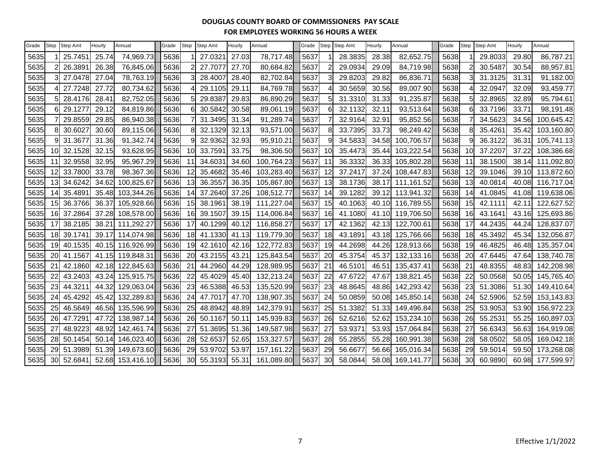| Grade | Step      | <b>Step Amt</b> | Hourly | Annual           | Grade | <b>Step</b>     | <b>Step Amt</b> | Hourly | Annual     | Grade |    | Step Step Amt | Hourly         | Annual     | Grade | Step           | Step Amt | Hourly | Annual     |
|-------|-----------|-----------------|--------|------------------|-------|-----------------|-----------------|--------|------------|-------|----|---------------|----------------|------------|-------|----------------|----------|--------|------------|
| 5635  |           | 25.7451         | 25.74  | 74,969.73        | 5636  |                 | 27.0321         | 27.03  | 78,717.48  | 5637  |    | 28.3835       | 28.38          | 82,652.75  | 5638  |                | 29.8033  | 29.80  | 86,787.21  |
| 5635  |           | 26.3891         | 26.38  | 76,845.06        | 5636  |                 | 27.7077         | 27.70  | 80,684.82  | 5637  | 2  | 29.0934       | 29.09          | 84,719.98  | 5638  | $\overline{2}$ | 30.5487  | 30.54  | 88,957.81  |
| 5635  |           | 27.0478         | 27.04  | 78,763.19        | 5636  |                 | 28.4007         | 28.40  | 82,702.84  | 5637  | 3  | 29.8203       | 29.82          | 86,836.71  | 5638  | 3              | 31.3125  | 31.31  | 91,182.00  |
| 5635  |           | 27.7248         | 27.72  | 80,734.62        | 5636  |                 | 29.1105         | 29.11  | 84,769.78  | 5637  |    | 30.5659       | 30.56          | 89,007.90  | 5638  |                | 32.0947  | 32.09  | 93,459.77  |
| 5635  |           | 28.4176         | 28.41  | 82,752.05        | 5636  |                 | 29.8387         | 29.83  | 86,890.29  | 5637  | 5  | 31.3310       | 31.33          | 91,235.87  | 5638  | 5              | 32.8965  | 32.89  | 95,794.61  |
| 5635  |           | 29.1277         | 29.12  | 84,819.86        | 5636  |                 | 30.5842         | 30.58  | 89,061.19  | 5637  | 6  | 32.1132       | 32.11          | 93,513.64  | 5638  | 6              | 33.7196  | 33.71  | 98,191.48  |
| 5635  |           | 29.8559         | 29.85  | 86,940.38        | 5636  |                 | 31.3495         | 31.34  | 91,289.74  | 5637  |    | 32.9164       | 32.91          | 95,852.56  | 5638  |                | 34.5623  | 34.56  | 100,645.42 |
| 5635  |           | 30.6027         | 30.60  | 89,115.06        | 5636  | 8               | 32.1329         | 32.13  | 93,571.00  | 5637  | 8  | 33.7395       | 33.73          | 98,249.42  | 5638  | 8              | 35.4261  | 35.42  | 103,160.80 |
| 5635  |           | 31.3677         | 31.36  | 91,342.74        | 5636  | 9               | 32.9362         | 32.93  | 95,910.21  | 5637  | 9  | 34.5833       | 34.58          | 100,706.57 | 5638  | 9              | 36.3122  | 36.31  | 105,741.13 |
| 5635  | 10I       | 32.1528         | 32.15  | 93,628.95        | 5636  | 10              | 33.7591         | 33.75  | 98,306.50  | 5637  | 10 | 35.4473       | 35.44          | 103,222.54 | 5638  | 10             | 37.2207  | 37.22  | 108,386.68 |
| 5635  |           | 32.9558         | 32.95  | 95,967.29        | 5636  | 11              | 34.6031         | 34.60  | 100,764.23 | 5637  | 11 | 36.3332       | 36.33          | 105,802.28 | 5638  | 11             | 38.1500  | 38.14  | 111,092.80 |
| 5635  | 12        | 33.7800         | 33.78  | 98,367.36        | 5636  | 12              | 35.4682         | 35.46  | 103,283.40 | 5637  | 12 | 37.2417       | 37.24          | 108,447.83 | 5638  | 12             | 39.1046  | 39.10  | 113,872.60 |
| 5635  | 131       | 34.6242         | 34.62  | 100,825.67       | 5636  | 13              | 36.3557         | 36.35  | 105,867.80 | 5637  | 13 | 38.1736       | 38.17          | 111,161.52 | 5638  | 13             | 40.0814  | 40.08  | 116,717.04 |
| 5635  | 141       | 35.4891         | 35.48  | 103,344.26       | 5636  | 14              | 37.2640         | 37.26  | 108,512.77 | 5637  | 14 | 39.1282       | 39.12          | 113,941.32 | 5638  | 14             | 41.0845  | 41.08  | 119,638.06 |
| 5635  | 15        | 36.3766         | 36.37  | 105,928.66       | 5636  | 15              | 38.1961         | 38.19  | 111,227.04 | 5637  | 15 | 40.1063       | 40.10          | 116,789.55 | 5638  | 15             | 42.1111  | 42.11  | 122,627.52 |
| 5635  | 161       | 37.2864         | 37.28  | 108,578.00       | 5636  | 16              | 39.1507         | 39.15  | 114,006.84 | 5637  | 16 | 41.1080       | 41.10          | 119,706.50 | 5638  | 16             | 43.1641  | 43.16  | 125,693.86 |
| 5635  | 17        | 38.2185         | 38.21  | 111,292.27       | 5636  | 17              | 40.1299         | 40.12  | 116,858.27 | 5637  | 17 | 42.1362       | 42.13          | 122,700.61 | 5638  | 17             | 44.2435  | 44.24  | 128,837.07 |
| 5635  | 18I       | 39.1741         | 39.17  | 114,074.98       | 5636  | 18 <sup>l</sup> | 41.1330         | 41.13  | 119,779.30 | 5637  | 18 | 43.1891       | 43.18          | 125,766.66 | 5638  | 18             | 45.3492  | 45.34  | 132,056.87 |
| 5635  | 19I       | 40.1535         | 40.15  | 116,926.99       | 5636  | 19              | 42.1610         | 42.16  | 122,772.83 | 5637  | 19 | 44.2698       | 44.26          | 128,913.66 | 5638  | 19             | 46.4825  | 46.48  | 135,357.04 |
| 5635  | 20        | 41.1567         |        | 41.15 119,848.31 | 5636  | 20              | 43.2155         | 43.21  | 125,843.54 | 5637  | 20 | 45.3754       | 45.37          | 132,133.16 | 5638  | 20             | 47.6445  | 47.64  | 138,740.78 |
| 5635  | 21        | 42.1860         | 42.18  | 122,845.63       | 5636  | 21              | 44.2960         | 44.29  | 128,989.95 | 5637  | 21 | 46.5101       | $46.5^{\circ}$ | 135,437.41 | 5638  | 21             | 48.8355  | 48.83  | 142,208.98 |
| 5635  | 22        | 43.2403         | 43.24  | 125,915.75       | 5636  | 22              | 45.4029         | 45.40  | 132,213.24 | 5637  | 22 | 47.6722       | 47.67          | 138,821.45 | 5638  | 22             | 50.0568  | 50.05  | 145,765.40 |
| 5635  | 23        | 44.3211         | 44.32  | 129,063.04       | 5636  | 23              | 46.5388         | 46.53  | 135,520.99 | 5637  | 23 | 48.8645       | 48.86          | 142,293.42 | 5638  | 23             | 51.3086  | 51.30  | 149,410.64 |
| 5635  | 24        | 45.4292         | 45.42  | 132,289.83       | 5636  | 24              | 47.7017         | 47.70  | 138,907.35 | 5637  | 24 | 50.0859       | 50.08          | 145,850.14 | 5638  | 24             | 52.5906  | 52.59  | 153,143.83 |
| 5635  | <b>25</b> | 46.5649         | 46.56  | 135,596.99       | 5636  | 25              | 48.8942         | 48.89  | 142,379.91 | 5637  | 25 | 51.3382       | 51.33          | 149,496.84 | 5638  | 25             | 53.9053  | 53.90  | 156,972.23 |
| 5635  | 26        | 47.7291         | 47.72  | 138,987.14       | 5636  | 26              | 50.1167         | 50.11  | 145,939.83 | 5637  | 26 | 52.6216       | 52.62          | 153,234.10 | 5638  | 26             | 55.2531  | 55.25  | 160,897.03 |
| 5635  | 27        | 48.9223         | 48.92  | 142,461.74       | 5636  | 27              | 51.3695         | 51.36  | 149,587.98 | 5637  | 27 | 53.937        | 53.93          | 157,064.84 | 5638  | 27             | 56.6343  | 56.63  | 164,919.08 |
| 5635  | 28        | 50.1454         | 50.14  | 146,023.40       | 5636  | 28              | 52.6537         | 52.65  | 153,327.57 | 5637  | 28 | 55.2855       | 55.28          | 160,991.38 | 5638  | 28             | 58.0502  | 58.05  | 169,042.18 |
| 5635  | 29        | 51.3989         | 51.39  | 149,673.60       | 5636  | 29              | 53.9702         | 53.97  | 157,161.22 | 5637  | 29 | 56.6677       | 56.66          | 165,016.34 | 5638  | 29             | 59.5014  | 59.50  | 173,268.08 |
| 5635  | 30        | 52.6841         |        | 52.68 153,416.10 | 5636  | 30              | 55.3193         | 55.31  | 161,089.80 | 5637  | 30 | 58.0844       | 58.08          | 169,141.77 | 5638  | 30             | 60.9890  | 60.98  | 177,599.97 |